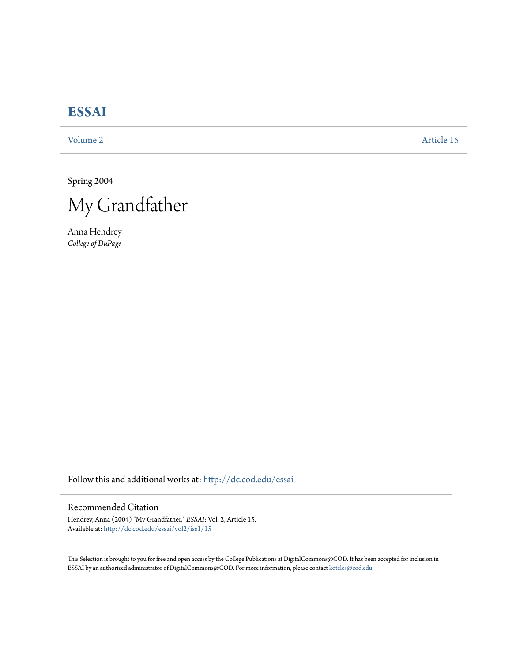# **[ESSAI](http://dc.cod.edu/essai?utm_source=dc.cod.edu%2Fessai%2Fvol2%2Fiss1%2F15&utm_medium=PDF&utm_campaign=PDFCoverPages)**

[Volume 2](http://dc.cod.edu/essai/vol2?utm_source=dc.cod.edu%2Fessai%2Fvol2%2Fiss1%2F15&utm_medium=PDF&utm_campaign=PDFCoverPages) [Article 15](http://dc.cod.edu/essai/vol2/iss1/15?utm_source=dc.cod.edu%2Fessai%2Fvol2%2Fiss1%2F15&utm_medium=PDF&utm_campaign=PDFCoverPages)

Spring 2004



Anna Hendrey *College of DuPage*

Follow this and additional works at: [http://dc.cod.edu/essai](http://dc.cod.edu/essai?utm_source=dc.cod.edu%2Fessai%2Fvol2%2Fiss1%2F15&utm_medium=PDF&utm_campaign=PDFCoverPages)

## Recommended Citation

Hendrey, Anna (2004) "My Grandfather," *ESSAI*: Vol. 2, Article 15. Available at: [http://dc.cod.edu/essai/vol2/iss1/15](http://dc.cod.edu/essai/vol2/iss1/15?utm_source=dc.cod.edu%2Fessai%2Fvol2%2Fiss1%2F15&utm_medium=PDF&utm_campaign=PDFCoverPages)

This Selection is brought to you for free and open access by the College Publications at DigitalCommons@COD. It has been accepted for inclusion in ESSAI by an authorized administrator of DigitalCommons@COD. For more information, please contact [koteles@cod.edu](mailto:koteles@cod.edu).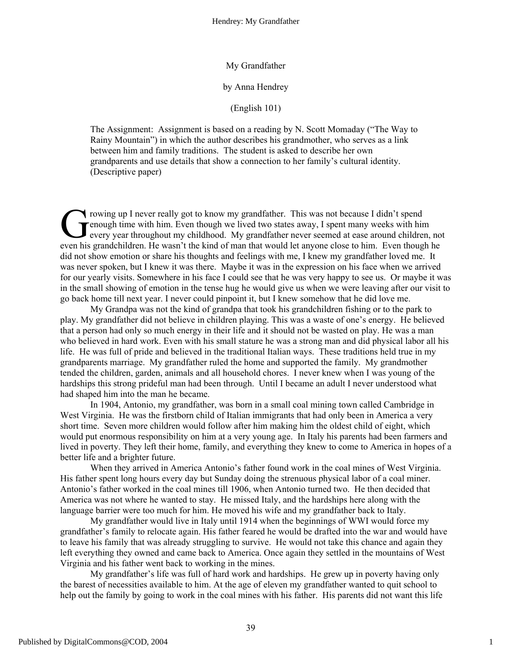#### My Grandfather

#### by Anna Hendrey

### (English 101)

The Assignment: Assignment is based on a reading by N. Scott Momaday ("The Way to Rainy Mountain") in which the author describes his grandmother, who serves as a link between him and family traditions. The student is asked to describe her own grandparents and use details that show a connection to her family's cultural identity. (Descriptive paper)

rowing up I never really got to know my grandfather. This was not because I didn't spend enough time with him. Even though we lived two states away, I spent many weeks with him every year throughout my childhood. My grandfather never seemed at ease around children, not even his grandchildren. He wasn't the kind of man that would let anyone close to him. Even though he did not show emotion or share his thoughts and feelings with me, I knew my grandfather loved me. It was never spoken, but I knew it was there. Maybe it was in the expression on his face when we arrived for our yearly visits. Somewhere in his face I could see that he was very happy to see us. Or maybe it was in the small showing of emotion in the tense hug he would give us when we were leaving after our visit to go back home till next year. I never could pinpoint it, but I knew somehow that he did love me. Grow<br>Greve<br>avenue his or

My Grandpa was not the kind of grandpa that took his grandchildren fishing or to the park to play. My grandfather did not believe in children playing. This was a waste of one's energy. He believed that a person had only so much energy in their life and it should not be wasted on play. He was a man who believed in hard work. Even with his small stature he was a strong man and did physical labor all his life. He was full of pride and believed in the traditional Italian ways. These traditions held true in my grandparents marriage. My grandfather ruled the home and supported the family. My grandmother tended the children, garden, animals and all household chores. I never knew when I was young of the hardships this strong prideful man had been through. Until I became an adult I never understood what had shaped him into the man he became.

In 1904, Antonio, my grandfather, was born in a small coal mining town called Cambridge in West Virginia. He was the firstborn child of Italian immigrants that had only been in America a very short time. Seven more children would follow after him making him the oldest child of eight, which would put enormous responsibility on him at a very young age. In Italy his parents had been farmers and lived in poverty. They left their home, family, and everything they knew to come to America in hopes of a better life and a brighter future.

When they arrived in America Antonio's father found work in the coal mines of West Virginia. His father spent long hours every day but Sunday doing the strenuous physical labor of a coal miner. Antonio's father worked in the coal mines till 1906, when Antonio turned two. He then decided that America was not where he wanted to stay. He missed Italy, and the hardships here along with the language barrier were too much for him. He moved his wife and my grandfather back to Italy.

My grandfather would live in Italy until 1914 when the beginnings of WWI would force my grandfather's family to relocate again. His father feared he would be drafted into the war and would have to leave his family that was already struggling to survive. He would not take this chance and again they left everything they owned and came back to America. Once again they settled in the mountains of West Virginia and his father went back to working in the mines.

My grandfather's life was full of hard work and hardships. He grew up in poverty having only the barest of necessities available to him. At the age of eleven my grandfather wanted to quit school to help out the family by going to work in the coal mines with his father. His parents did not want this life

1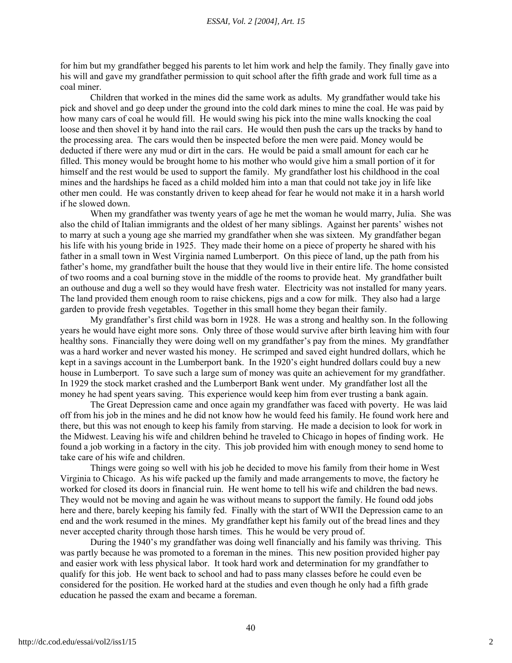for him but my grandfather begged his parents to let him work and help the family. They finally gave into his will and gave my grandfather permission to quit school after the fifth grade and work full time as a coal miner.

Children that worked in the mines did the same work as adults. My grandfather would take his pick and shovel and go deep under the ground into the cold dark mines to mine the coal. He was paid by how many cars of coal he would fill. He would swing his pick into the mine walls knocking the coal loose and then shovel it by hand into the rail cars. He would then push the cars up the tracks by hand to the processing area. The cars would then be inspected before the men were paid. Money would be deducted if there were any mud or dirt in the cars. He would be paid a small amount for each car he filled. This money would be brought home to his mother who would give him a small portion of it for himself and the rest would be used to support the family. My grandfather lost his childhood in the coal mines and the hardships he faced as a child molded him into a man that could not take joy in life like other men could. He was constantly driven to keep ahead for fear he would not make it in a harsh world if he slowed down.

When my grandfather was twenty years of age he met the woman he would marry, Julia. She was also the child of Italian immigrants and the oldest of her many siblings. Against her parents' wishes not to marry at such a young age she married my grandfather when she was sixteen. My grandfather began his life with his young bride in 1925. They made their home on a piece of property he shared with his father in a small town in West Virginia named Lumberport. On this piece of land, up the path from his father's home, my grandfather built the house that they would live in their entire life. The home consisted of two rooms and a coal burning stove in the middle of the rooms to provide heat. My grandfather built an outhouse and dug a well so they would have fresh water. Electricity was not installed for many years. The land provided them enough room to raise chickens, pigs and a cow for milk. They also had a large garden to provide fresh vegetables. Together in this small home they began their family.

My grandfather's first child was born in 1928. He was a strong and healthy son. In the following years he would have eight more sons. Only three of those would survive after birth leaving him with four healthy sons. Financially they were doing well on my grandfather's pay from the mines. My grandfather was a hard worker and never wasted his money. He scrimped and saved eight hundred dollars, which he kept in a savings account in the Lumberport bank. In the 1920's eight hundred dollars could buy a new house in Lumberport. To save such a large sum of money was quite an achievement for my grandfather. In 1929 the stock market crashed and the Lumberport Bank went under. My grandfather lost all the money he had spent years saving. This experience would keep him from ever trusting a bank again.

The Great Depression came and once again my grandfather was faced with poverty. He was laid off from his job in the mines and he did not know how he would feed his family. He found work here and there, but this was not enough to keep his family from starving. He made a decision to look for work in the Midwest. Leaving his wife and children behind he traveled to Chicago in hopes of finding work. He found a job working in a factory in the city. This job provided him with enough money to send home to take care of his wife and children.

Things were going so well with his job he decided to move his family from their home in West Virginia to Chicago. As his wife packed up the family and made arrangements to move, the factory he worked for closed its doors in financial ruin. He went home to tell his wife and children the bad news. They would not be moving and again he was without means to support the family. He found odd jobs here and there, barely keeping his family fed. Finally with the start of WWII the Depression came to an end and the work resumed in the mines. My grandfather kept his family out of the bread lines and they never accepted charity through those harsh times. This he would be very proud of.

During the 1940's my grandfather was doing well financially and his family was thriving. This was partly because he was promoted to a foreman in the mines. This new position provided higher pay and easier work with less physical labor. It took hard work and determination for my grandfather to qualify for this job. He went back to school and had to pass many classes before he could even be considered for the position. He worked hard at the studies and even though he only had a fifth grade education he passed the exam and became a foreman.